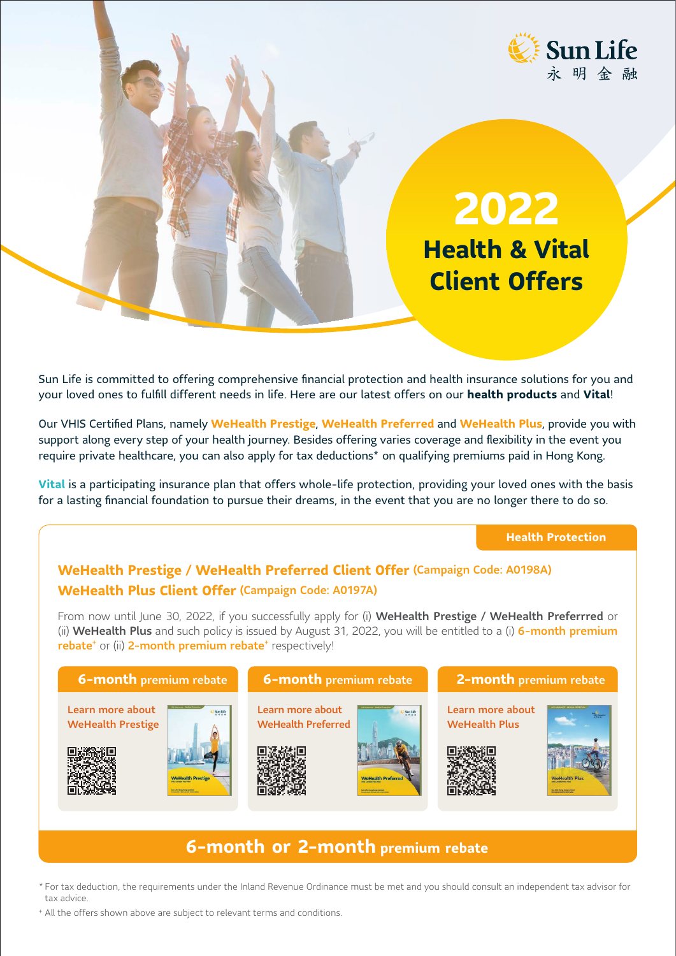

**2022 Health & Vital Client Offers**

Sun Life is committed to offering comprehensive financial protection and health insurance solutions for you and your loved ones to fulfill different needs in life. Here are our latest offers on our **health products** and **Vital**!

Our VHIS Certified Plans, namely **WeHealth Prestige**, **WeHealth Preferred** and **WeHealth Plus**, provide you with support along every step of your health journey. Besides offering varies coverage and flexibility in the event you require private healthcare, you can also apply for tax deductions\* on qualifying premiums paid in Hong Kong.

**Vital** is a participating insurance plan that offers whole-life protection, providing your loved ones with the basis for a lasting financial foundation to pursue their dreams, in the event that you are no longer there to do so.

# **Health Protection**

# **WeHealth Prestige / WeHealth Preferred Client Offer** (Campaign Code: A0198A) **WeHealth Plus Client Offer** (Campaign Code: A0197A)

From now until June 30, 2022, if you successfully apply for (i) WeHealth Prestige / WeHealth Preferrred or (ii) WeHealth Plus and such policy is issued by August 31, 2022, you will be entitled to a (i) 6-month premium rebate<sup>+</sup> or (ii) 2-month premium rebate<sup>+</sup> respectively!



# **6-month or 2-month premium rebate**

- \* For tax deduction, the requirements under the Inland Revenue Ordinance must be met and you should consult an independent tax advisor for tax advice.
- <sup>+</sup> All the offers shown above are subject to relevant terms and conditions.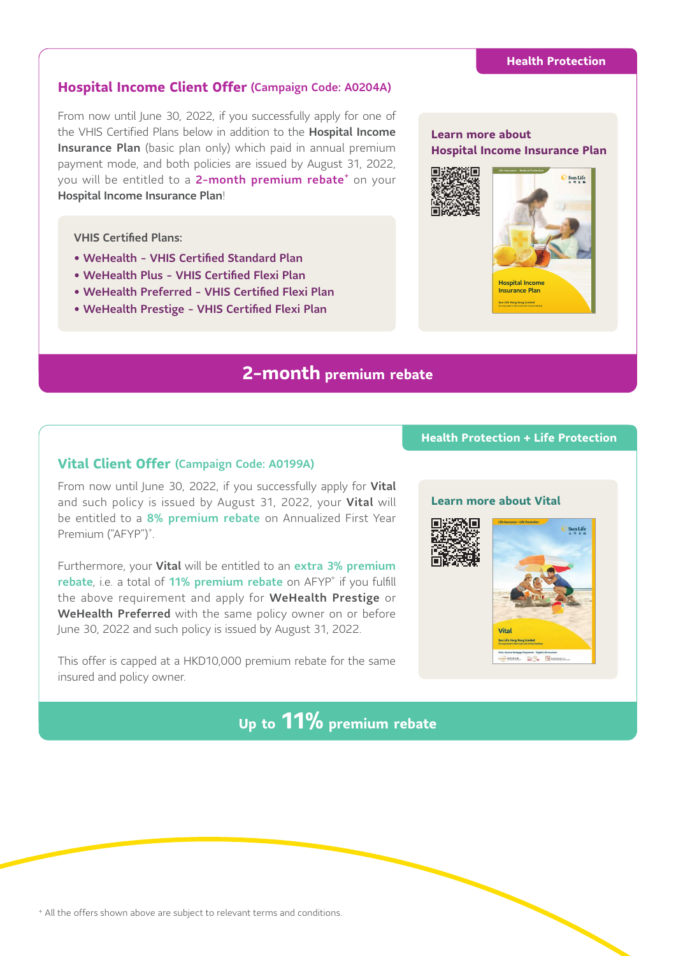# **Hospital Income Client Offer** (Campaign Code: A0204A)

From now until June 30, 2022, if you successfully apply for one of the VHIS Certified Plans below in addition to the **Hospital Income** Insurance Plan (basic plan only) which paid in annual premium payment mode, and both policies are issued by August 31, 2022, you will be entitled to a 2-month premium rebate<sup>+</sup> on your Hospital Income Insurance Plan!

## VHIS Certified Plans:

- WeHealth VHIS Certified Standard Plan
- WeHealth Plus VHIS Certified Flexi Plan
- WeHealth Preferred VHIS Certified Flexi Plan
- WeHealth Prestige VHIS Certified Flexi Plan

# **2-month premium rebate**

# **Vital Client Offer** (Campaign Code: A0199A)

From now until June 30, 2022, if you successfully apply for Vital and such policy is issued by August 31, 2022, your Vital will be entitled to a 8% premium rebate on Annualized First Year Premium ("AFYP")<sup>+</sup>.

Furthermore, your Vital will be entitled to an extra 3% premium rebate, i.e. a total of 11% premium rebate on AFYP<sup>+</sup> if you fulfill the above requirement and apply for WeHealth Prestige or WeHealth Preferred with the same policy owner on or before June 30, 2022 and such policy is issued by August 31, 2022.

This offer is capped at a HKD10,000 premium rebate for the same insured and policy owner.

# **Up to 11% premium rebate**

# **Learn more about Hospital Income Insurance Plan**



# **Health Protection + Life Protection**

## **Learn more about Vital**



<sup>+</sup> All the offers shown above are subject to relevant terms and conditions.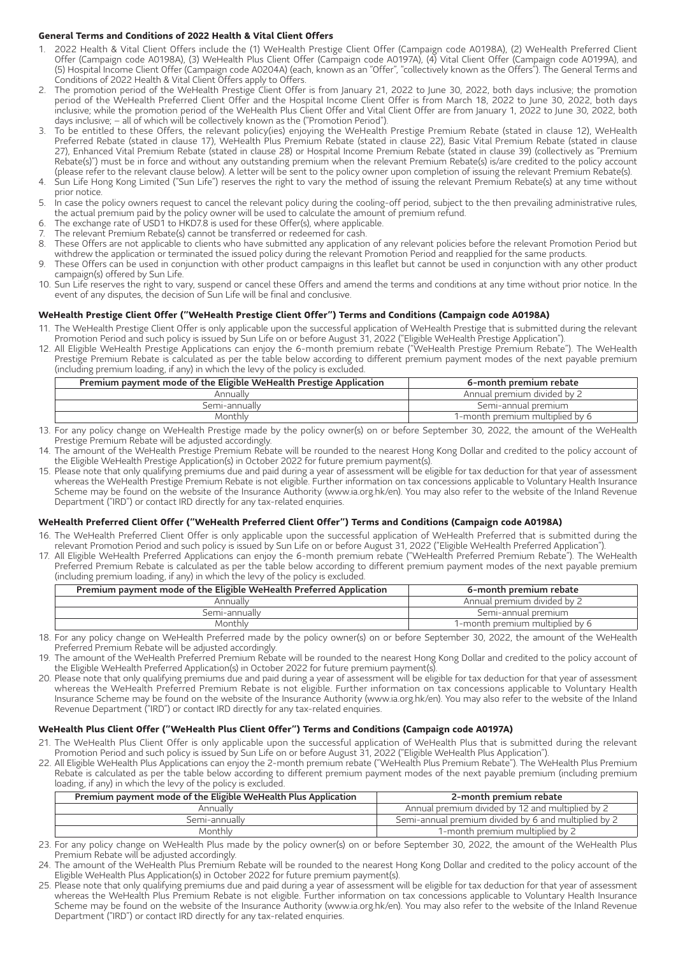### **General Terms and Conditions of 2022 Health & Vital Client Offers**

- 1. 2022 Health & Vital Client Offers include the (1) WeHealth Prestige Client Offer (Campaign code A0198A), (2) WeHealth Preferred Client Offer (Campaign code A0198A), (3) WeHealth Plus Client Offer (Campaign code A0197A), (4) Vital Client Offer (Campaign code A0199A), and (5) Hospital Income Client Offer (Campaign code A0204A) (each, known as an "Offer", "collectively known as the Offers"). The General Terms and Conditions of 2022 Health & Vital Client Offers apply to Offers.
- 2. The promotion period of the WeHealth Prestige Client Offer is from January 21, 2022 to June 30, 2022, both days inclusive; the promotion period of the WeHealth Preferred Client Offer and the Hospital Income Client Offer is from March 18, 2022 to June 30, 2022, both days inclusive; while the promotion period of the WeHealth Plus Client Offer and Vital Client Offer are from January 1, 2022 to June 30, 2022, both days inclusive; – all of which will be collectively known as the ("Promotion Period").
- 3. To be entitled to these Offers, the relevant policy(ies) enjoying the WeHealth Prestige Premium Rebate (stated in clause 12), WeHealth Preferred Rebate (stated in clause 17), WeHealth Plus Premium Rebate (stated in clause 22), Basic Vital Premium Rebate (stated in clause 27), Enhanced Vital Premium Rebate (stated in clause 28) or Hospital Income Premium Rebate (stated in clause 39) (collectively as "Premium Rebate(s)") must be in force and without any outstanding premium when the relevant Premium Rebate(s) is/are credited to the policy account (please refer to the relevant clause below). A letter will be sent to the policy owner upon completion of issuing the relevant Premium Rebate(s).
- 4. Sun Life Hong Kong Limited ("Sun Life") reserves the right to vary the method of issuing the relevant Premium Rebate(s) at any time without prior notice.
- 5. In case the policy owners request to cancel the relevant policy during the cooling-off period, subject to the then prevailing administrative rules, the actual premium paid by the policy owner will be used to calculate the amount of premium refund.
- 6. The exchange rate of USD1 to HKD7.8 is used for these Offer(s), where applicable.
- The relevant Premium Rebate(s) cannot be transferred or redeemed for cash.
- 8. These Offers are not applicable to clients who have submitted any application of any relevant policies before the relevant Promotion Period but withdrew the application or terminated the issued policy during the relevant Promotion Period and reapplied for the same products.
- 9. These Offers can be used in conjunction with other product campaigns in this leaflet but cannot be used in conjunction with any other product campaign(s) offered by Sun Life.
- 10. Sun Life reserves the right to vary, suspend or cancel these Offers and amend the terms and conditions at any time without prior notice. In the event of any disputes, the decision of Sun Life will be final and conclusive.

### **WeHealth Prestige Client Offer ("WeHealth Prestige Client Offer") Terms and Conditions (Campaign code A0198A)**

- 11. The WeHealth Prestige Client Offer is only applicable upon the successful application of WeHealth Prestige that is submitted during the relevant Promotion Period and such policy is issued by Sun Life on or before August 31, 2022 ("Eligible WeHealth Prestige Application").
- 12. All Eligible WeHealth Prestige Applications can enjoy the 6-month premium rebate ("WeHealth Prestige Premium Rebate"). The WeHealth Prestige Premium Rebate is calculated as per the table below according to different premium payment modes of the next payable premium (including premium loading, if any) in which the levy of the policy is excluded.

| Premium payment mode of the Eligible WeHealth Prestige Application | 6-month premium rebate          |
|--------------------------------------------------------------------|---------------------------------|
| Annually                                                           | Annual premium divided by 2     |
| Semi-annually                                                      | Semi-annual premium             |
| Monthlv                                                            | 1-month premium multiplied by 6 |

- 13. For any policy change on WeHealth Prestige made by the policy owner(s) on or before September 30, 2022, the amount of the WeHealth Prestige Premium Rebate will be adjusted accordingly.
- 14. The amount of the WeHealth Prestige Premium Rebate will be rounded to the nearest Hong Kong Dollar and credited to the policy account of the Eligible WeHealth Prestige Application(s) in October 2022 for future premium payment(s).
- 15. Please note that only qualifying premiums due and paid during a year of assessment will be eligible for tax deduction for that year of assessment whereas the WeHealth Prestige Premium Rebate is not eligible. Further information on tax concessions applicable to Voluntary Health Insurance Scheme may be found on the website of the Insurance Authority (www.ia.org.hk/en). You may also refer to the website of the Inland Revenue Department ("IRD") or contact IRD directly for any tax-related enquiries.

### **WeHealth Preferred Client Offer ("WeHealth Preferred Client Offer") Terms and Conditions (Campaign code A0198A)**

- 16. The WeHealth Preferred Client Offer is only applicable upon the successful application of WeHealth Preferred that is submitted during the relevant Promotion Period and such policy is issued by Sun Life on or before August 31, 2022 ("Eligible WeHealth Preferred Application").
- 17. All Eligible WeHealth Preferred Applications can enjoy the 6-month premium rebate ("WeHealth Preferred Premium Rebate"). The WeHealth Preferred Premium Rebate is calculated as per the table below according to different premium payment modes of the next payable premium (including premium loading, if any) in which the levy of the policy is excluded.

| Premium payment mode of the Eligible WeHealth Preferred Application | 6-month premium rebate          |
|---------------------------------------------------------------------|---------------------------------|
| Annually                                                            | Annual premium divided by 2     |
| Semi-annually                                                       | Semi-annual premium             |
| Monthly                                                             | 1-month premium multiplied by 6 |

- 18. For any policy change on WeHealth Preferred made by the policy owner(s) on or before September 30, 2022, the amount of the WeHealth Preferred Premium Rebate will be adjusted accordingly.
- 19. The amount of the WeHealth Preferred Premium Rebate will be rounded to the nearest Hong Kong Dollar and credited to the policy account of the Eligible WeHealth Preferred Application(s) in October 2022 for future premium payment(s).
- 20. Please note that only qualifying premiums due and paid during a year of assessment will be eligible for tax deduction for that year of assessment whereas the WeHealth Preferred Premium Rebate is not eligible. Further information on tax concessions applicable to Voluntary Health Insurance Scheme may be found on the website of the Insurance Authority (www.ia.org.hk/en). You may also refer to the website of the Inland Revenue Department ("IRD") or contact IRD directly for any tax-related enquiries.

### **WeHealth Plus Client Offer ("WeHealth Plus Client Offer") Terms and Conditions (Campaign code A0197A)**

- 21. The WeHealth Plus Client Offer is only applicable upon the successful application of WeHealth Plus that is submitted during the relevant Promotion Period and such policy is issued by Sun Life on or before August 31, 2022 ("Eligible WeHealth Plus Application").
- 22. All Eligible WeHealth Plus Applications can enjoy the 2-month premium rebate ("WeHealth Plus Premium Rebate"). The WeHealth Plus Premium Rebate is calculated as per the table below according to different premium payment modes of the next payable premium (including premium loading, if any) in which the levy of the policy is excluded.

| Premium payment mode of the Eligible WeHealth Plus Application | 2-month premium rebate                               |
|----------------------------------------------------------------|------------------------------------------------------|
| Annually                                                       | Annual premium divided by 12 and multiplied by 2     |
| Semi-annually                                                  | Semi-annual premium divided by 6 and multiplied by 2 |
| Monthly                                                        | 1-month premium multiplied by 2                      |
|                                                                |                                                      |

- 23. For any policy change on WeHealth Plus made by the policy owner(s) on or before September 30, 2022, the amount of the WeHealth Plus Premium Rebate will be adjusted accordingly.
- 24. The amount of the WeHealth Plus Premium Rebate will be rounded to the nearest Hong Kong Dollar and credited to the policy account of the Eligible WeHealth Plus Application(s) in October 2022 for future premium payment(s).
- 25. Please note that only qualifying premiums due and paid during a year of assessment will be eligible for tax deduction for that year of assessment whereas the WeHealth Plus Premium Rebate is not eligible. Further information on tax concessions applicable to Voluntary Health Insurance Scheme may be found on the website of the Insurance Authority (www.ia.org.hk/en). You may also refer to the website of the Inland Revenue Department ("IRD") or contact IRD directly for any tax-related enquiries.